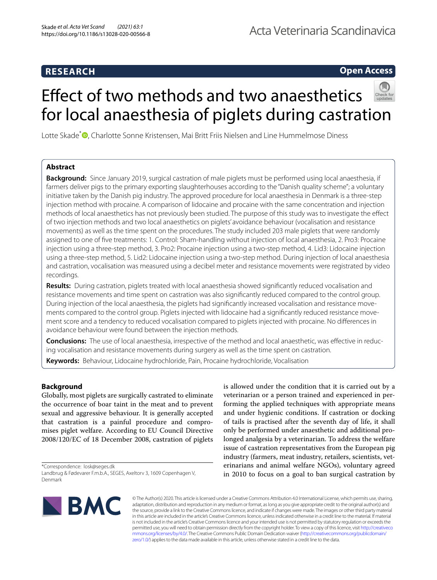# **RESEARCH**

# **Open Access**

# Efect of two methods and two anaesthetics for local anaesthesia of piglets during castration

Lotte Skade<sup>\*</sup> • Charlotte Sonne Kristensen[,](http://orcid.org/0000-0001-6081-5875) Mai Britt Friis Nielsen and Line Hummelmose Diness

# **Abstract**

**Background:** Since January 2019, surgical castration of male piglets must be performed using local anaesthesia, if farmers deliver pigs to the primary exporting slaughterhouses according to the "Danish quality scheme"; a voluntary initiative taken by the Danish pig industry. The approved procedure for local anaesthesia in Denmark is a three-step injection method with procaine. A comparison of lidocaine and procaine with the same concentration and injection methods of local anaesthetics has not previously been studied. The purpose of this study was to investigate the efect of two injection methods and two local anaesthetics on piglets' avoidance behaviour (vocalisation and resistance movements) as well as the time spent on the procedures. The study included 203 male piglets that were randomly assigned to one of fve treatments: 1. Control: Sham-handling without injection of local anaesthesia, 2. Pro3: Procaine injection using a three-step method, 3. Pro2: Procaine injection using a two-step method, 4. Lid3: Lidocaine injection using a three-step method, 5. Lid2: Lidocaine injection using a two-step method. During injection of local anaesthesia and castration, vocalisation was measured using a decibel meter and resistance movements were registrated by video recordings.

**Results:** During castration, piglets treated with local anaesthesia showed signifcantly reduced vocalisation and resistance movements and time spent on castration was also signifcantly reduced compared to the control group. During injection of the local anaesthesia, the piglets had signifcantly increased vocalisation and resistance movements compared to the control group. Piglets injected with lidocaine had a signifcantly reduced resistance movement score and a tendency to reduced vocalisation compared to piglets injected with procaine. No diferences in avoidance behaviour were found between the injection methods.

**Conclusions:** The use of local anaesthesia, irrespective of the method and local anaesthetic, was efective in reducing vocalisation and resistance movements during surgery as well as the time spent on castration.

**Keywords:** Behaviour, Lidocaine hydrochloride, Pain, Procaine hydrochloride, Vocalisation

# **Background**

Globally, most piglets are surgically castrated to eliminate the occurrence of boar taint in the meat and to prevent sexual and aggressive behaviour. It is generally accepted that castration is a painful procedure and compromises piglet welfare. According to EU Council Directive 2008/120/EC of 18 December 2008, castration of piglets

\*Correspondence: losk@seges.dk Landbrug & Fødevarer F.m.b.A., SEGES, Axeltorv 3, 1609 Copenhagen V, Denmark

is allowed under the condition that it is carried out by a veterinarian or a person trained and experienced in performing the applied techniques with appropriate means and under hygienic conditions. If castration or docking of tails is practised after the seventh day of life, it shall only be performed under anaesthetic and additional prolonged analgesia by a veterinarian. To address the welfare issue of castration representatives from the European pig industry (farmers, meat industry, retailers, scientists, veterinarians and animal welfare NGOs), voluntary agreed in 2010 to focus on a goal to ban surgical castration by



© The Author(s) 2020. This article is licensed under a Creative Commons Attribution 4.0 International License, which permits use, sharing, adaptation, distribution and reproduction in any medium or format, as long as you give appropriate credit to the original author(s) and the source, provide a link to the Creative Commons licence, and indicate if changes were made. The images or other third party material in this article are included in the article's Creative Commons licence, unless indicated otherwise in a credit line to the material. If material is not included in the article's Creative Commons licence and your intended use is not permitted by statutory regulation or exceeds the permitted use, you will need to obtain permission directly from the copyright holder. To view a copy of this licence, visit [http://creativeco](http://creativecommons.org/licenses/by/4.0/) [mmons.org/licenses/by/4.0/.](http://creativecommons.org/licenses/by/4.0/) The Creative Commons Public Domain Dedication waiver ([http://creativecommons.org/publicdomain/](http://creativecommons.org/publicdomain/zero/1.0/) [zero/1.0/\)](http://creativecommons.org/publicdomain/zero/1.0/) applies to the data made available in this article, unless otherwise stated in a credit line to the data.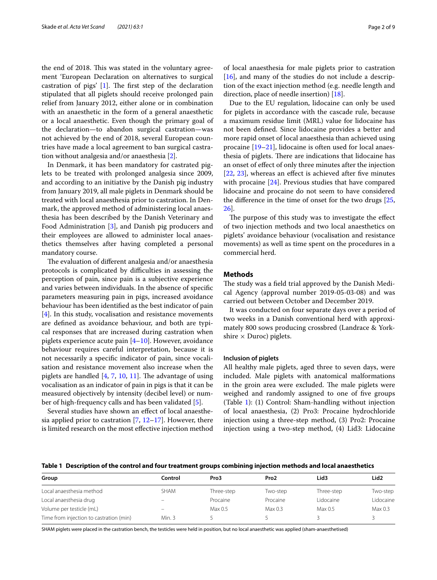the end of 2018. This was stated in the voluntary agreement 'European Declaration on alternatives to surgical castration of pigs'  $[1]$  $[1]$ . The first step of the declaration stipulated that all piglets should receive prolonged pain relief from January 2012, either alone or in combination with an anaesthetic in the form of a general anaesthetic or a local anaesthetic. Even though the primary goal of the declaration—to abandon surgical castration—was not achieved by the end of 2018, several European countries have made a local agreement to ban surgical castration without analgesia and/or anaesthesia [\[2](#page-7-1)].

In Denmark, it has been mandatory for castrated piglets to be treated with prolonged analgesia since 2009, and according to an initiative by the Danish pig industry from January 2019, all male piglets in Denmark should be treated with local anaesthesia prior to castration. In Denmark, the approved method of administering local anaesthesia has been described by the Danish Veterinary and Food Administration [\[3](#page-7-2)], and Danish pig producers and their employees are allowed to administer local anaesthetics themselves after having completed a personal mandatory course.

The evaluation of different analgesia and/or anaesthesia protocols is complicated by difficulties in assessing the perception of pain, since pain is a subjective experience and varies between individuals. In the absence of specifc parameters measuring pain in pigs, increased avoidance behaviour has been identifed as the best indicator of pain [[4\]](#page-7-3). In this study, vocalisation and resistance movements are defned as avoidance behaviour, and both are typical responses that are increased during castration when piglets experience acute pain [\[4](#page-7-3)[–10](#page-7-4)]. However, avoidance behaviour requires careful interpretation, because it is not necessarily a specifc indicator of pain, since vocalisation and resistance movement also increase when the piglets are handled  $[4, 7, 10, 11]$  $[4, 7, 10, 11]$  $[4, 7, 10, 11]$  $[4, 7, 10, 11]$  $[4, 7, 10, 11]$  $[4, 7, 10, 11]$  $[4, 7, 10, 11]$ . The advantage of using vocalisation as an indicator of pain in pigs is that it can be measured objectively by intensity (decibel level) or number of high-frequency calls and has been validated [\[5](#page-7-7)].

Several studies have shown an efect of local anaesthesia applied prior to castration [\[7](#page-7-5), [12](#page-7-8)[–17\]](#page-7-9). However, there is limited research on the most efective injection method

of local anaesthesia for male piglets prior to castration  $[16]$  $[16]$ , and many of the studies do not include a description of the exact injection method (e.g. needle length and direction, place of needle insertion) [[18\]](#page-7-11).

Due to the EU regulation, lidocaine can only be used for piglets in accordance with the cascade rule, because a maximum residue limit (MRL) value for lidocaine has not been defned. Since lidocaine provides a better and more rapid onset of local anaesthesia than achieved using procaine [\[19](#page-7-12)[–21](#page-8-0)], lidocaine is often used for local anaesthesia of piglets. There are indications that lidocaine has an onset of efect of only three minutes after the injection [[22,](#page-8-1) [23](#page-8-2)], whereas an effect is achieved after five minutes with procaine [\[24\]](#page-8-3). Previous studies that have compared lidocaine and procaine do not seem to have considered the diference in the time of onset for the two drugs [[25](#page-8-4), [26\]](#page-8-5).

The purpose of this study was to investigate the effect of two injection methods and two local anaesthetics on piglets' avoidance behaviour (vocalisation and resistance movements) as well as time spent on the procedures in a commercial herd.

# **Methods**

The study was a field trial approved by the Danish Medical Agency (approval number 2019-05-03-08) and was carried out between October and December 2019.

It was conducted on four separate days over a period of two weeks in a Danish conventional herd with approximately 800 sows producing crossbred (Landrace & Yorkshire  $\times$  Duroc) piglets.

#### **Inclusion of piglets**

All healthy male piglets, aged three to seven days, were included. Male piglets with anatomical malformations in the groin area were excluded. The male piglets were weighed and randomly assigned to one of fve groups (Table [1\)](#page-1-0): (1) Control: Sham-handling without injection of local anaesthesia, (2) Pro3: Procaine hydrochloride injection using a three-step method, (3) Pro2: Procaine injection using a two-step method, (4) Lid3: Lidocaine

<span id="page-1-0"></span>**Table 1 Description of the control and four treatment groups combining injection methods and local anaesthetics**

| Group                                   | Control                  | Pro3       | Pro <sub>2</sub> | Lid3       | Lid <sub>2</sub> |
|-----------------------------------------|--------------------------|------------|------------------|------------|------------------|
| Local anaesthesia method                | SHAM                     | Three-step | Two-step         | Three-step | Two-step         |
| Local anaesthesia drug                  | $\overline{\phantom{0}}$ | Procaine   | Procaine         | Lidocaine  | Lidocaine        |
| Volume per testicle (mL)                |                          | Max 0.5    | Max 0.3          | Max 0.5    | Max 0.3          |
| Time from injection to castration (min) | Min. 3                   |            |                  |            |                  |

SHAM piglets were placed in the castration bench, the testicles were held in position, but no local anaesthetic was applied (sham-anaesthetised)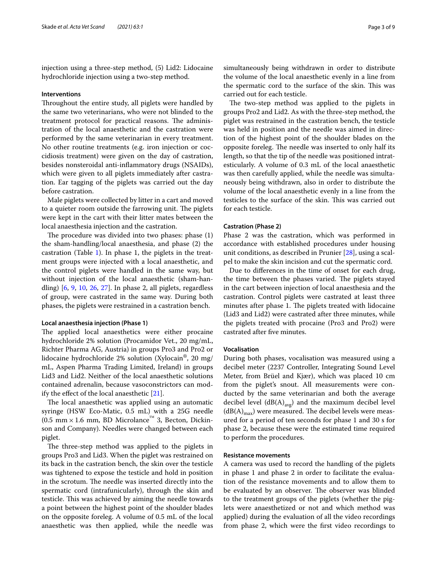injection using a three-step method, (5) Lid2: Lidocaine hydrochloride injection using a two-step method.

## **Interventions**

Throughout the entire study, all piglets were handled by the same two veterinarians, who were not blinded to the treatment protocol for practical reasons. The administration of the local anaesthetic and the castration were performed by the same veterinarian in every treatment. No other routine treatments (e.g. iron injection or coccidiosis treatment) were given on the day of castration, besides nonsteroidal anti-infammatory drugs (NSAIDs), which were given to all piglets immediately after castration. Ear tagging of the piglets was carried out the day before castration.

Male piglets were collected by litter in a cart and moved to a quieter room outside the farrowing unit. The piglets were kept in the cart with their litter mates between the local anaesthesia injection and the castration.

The procedure was divided into two phases: phase  $(1)$ the sham-handling/local anaesthesia, and phase (2) the castration (Table [1\)](#page-1-0). In phase 1, the piglets in the treatment groups were injected with a local anaesthetic, and the control piglets were handled in the same way, but without injection of the local anaesthetic (sham-handling) [[6,](#page-7-13) [9,](#page-7-14) [10](#page-7-4), [26](#page-8-5), [27](#page-8-6)]. In phase 2, all piglets, regardless of group, were castrated in the same way. During both phases, the piglets were restrained in a castration bench.

# **Local anaesthesia injection (Phase 1)**

The applied local anaesthetics were either procaine hydrochloride 2% solution (Procamidor Vet., 20 mg/mL, Richter Pharma AG, Austria) in groups Pro3 and Pro2 or lidocaine hydrochloride 2% solution (Xylocain®, 20 mg/ mL, Aspen Pharma Trading Limited, Ireland) in groups Lid3 and Lid2. Neither of the local anaesthetic solutions contained adrenalin, because vasoconstrictors can modify the efect of the local anaesthetic [[21](#page-8-0)].

The local anaesthetic was applied using an automatic syringe (HSW Eco-Matic, 0.5 mL) with a 25G needle  $(0.5 \text{ mm} \times 1.6 \text{ mm}, \text{ BD}$  Microlance<sup>™</sup> 3, Becton, Dickinson and Company). Needles were changed between each piglet.

The three-step method was applied to the piglets in groups Pro3 and Lid3. When the piglet was restrained on its back in the castration bench, the skin over the testicle was tightened to expose the testicle and hold in position in the scrotum. The needle was inserted directly into the spermatic cord (intrafunicularly), through the skin and testicle. This was achieved by aiming the needle towards a point between the highest point of the shoulder blades on the opposite foreleg. A volume of 0.5 mL of the local anaesthetic was then applied, while the needle was

simultaneously being withdrawn in order to distribute the volume of the local anaesthetic evenly in a line from the spermatic cord to the surface of the skin. This was carried out for each testicle.

The two-step method was applied to the piglets in groups Pro2 and Lid2. As with the three-step method, the piglet was restrained in the castration bench, the testicle was held in position and the needle was aimed in direction of the highest point of the shoulder blades on the opposite foreleg. The needle was inserted to only half its length, so that the tip of the needle was positioned intratesticularly. A volume of 0.3 mL of the local anaesthetic was then carefully applied, while the needle was simultaneously being withdrawn, also in order to distribute the volume of the local anaesthetic evenly in a line from the testicles to the surface of the skin. This was carried out for each testicle.

## **Castration (Phase 2)**

Phase 2 was the castration, which was performed in accordance with established procedures under housing unit conditions, as described in Prunier [\[28\]](#page-8-7), using a scalpel to make the skin incision and cut the spermatic cord.

Due to diferences in the time of onset for each drug, the time between the phases varied. The piglets stayed in the cart between injection of local anaesthesia and the castration. Control piglets were castrated at least three minutes after phase 1. The piglets treated with lidocaine (Lid3 and Lid2) were castrated after three minutes, while the piglets treated with procaine (Pro3 and Pro2) were castrated after fve minutes.

### **Vocalisation**

During both phases, vocalisation was measured using a decibel meter (2237 Controller, Integrating Sound Level Meter, from Brüel and Kjær), which was placed 10 cm from the piglet's snout. All measurements were conducted by the same veterinarian and both the average decibel level  $(dB(A)<sub>avg</sub>)$  and the maximum decibel level  $(dB(A)<sub>max</sub>)$  were measured. The decibel levels were measured for a period of ten seconds for phase 1 and 30 s for phase 2, because these were the estimated time required to perform the procedures.

# **Resistance movements**

A camera was used to record the handling of the piglets in phase 1 and phase 2 in order to facilitate the evaluation of the resistance movements and to allow them to be evaluated by an observer. The observer was blinded to the treatment groups of the piglets (whether the piglets were anaesthetized or not and which method was applied) during the evaluation of all the video recordings from phase 2, which were the frst video recordings to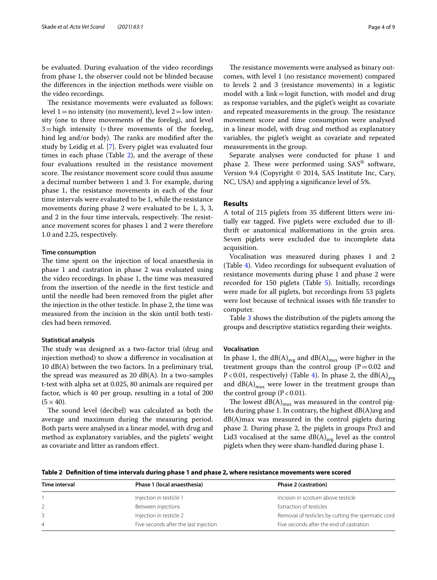be evaluated. During evaluation of the video recordings from phase 1, the observer could not be blinded because the diferences in the injection methods were visible on the video recordings.

The resistance movements were evaluated as follows: level  $1=$ no intensity (no movement), level  $2=$ low intensity (one to three movements of the foreleg), and level  $3 =$ high intensity (>three movements of the foreleg, hind leg and/or body). The ranks are modified after the study by Leidig et al. [\[7](#page-7-5)]. Every piglet was evaluated four times in each phase (Table [2](#page-3-0)), and the average of these four evaluations resulted in the resistance movement score. The resistance movement score could thus assume a decimal number between 1 and 3. For example, during phase 1, the resistance movements in each of the four time intervals were evaluated to be 1, while the resistance movements during phase 2 were evaluated to be 1, 3, 3, and 2 in the four time intervals, respectively. The resistance movement scores for phases 1 and 2 were therefore 1.0 and 2.25, respectively.

## **Time consumption**

The time spent on the injection of local anaesthesia in phase 1 and castration in phase 2 was evaluated using the video recordings. In phase 1, the time was measured from the insertion of the needle in the frst testicle and until the needle had been removed from the piglet after the injection in the other testicle. In phase 2, the time was measured from the incision in the skin until both testicles had been removed.

### **Statistical analysis**

The study was designed as a two-factor trial (drug and injection method) to show a diference in vocalisation at 10 dB(A) between the two factors. In a preliminary trial, the spread was measured as 20 dB(A). In a two-samples t-test with alpha set at 0.025, 80 animals are required per factor, which is 40 per group, resulting in a total of 200  $(5 \times 40)$ .

The sound level (decibel) was calculated as both the average and maximum during the measuring period. Both parts were analysed in a linear model, with drug and method as explanatory variables, and the piglets' weight as covariate and litter as random efect.

The resistance movements were analysed as binary outcomes, with level 1 (no resistance movement) compared to levels 2 and 3 (resistance movements) in a logistic model with a link=logit function, with model and drug as response variables, and the piglet's weight as covariate and repeated measurements in the group. The resistance movement score and time consumption were analysed in a linear model, with drug and method as explanatory variables, the piglet's weight as covariate and repeated measurements in the group.

Separate analyses were conducted for phase 1 and phase 2. These were performed using  $SAS^{\circledast}$  software, Version 9.4 (Copyright © 2014, SAS Institute Inc, Cary, NC, USA) and applying a signifcance level of 5%.

#### **Results**

A total of 215 piglets from 35 diferent litters were initially ear tagged. Five piglets were excluded due to illthrift or anatomical malformations in the groin area. Seven piglets were excluded due to incomplete data acquisition.

Vocalisation was measured during phases 1 and 2 (Table [4](#page-4-0)). Video recordings for subsequent evaluation of resistance movements during phase 1 and phase 2 were recorded for 150 piglets (Table [5\)](#page-4-1). Initially, recordings were made for all piglets, but recordings from 53 piglets were lost because of technical issues with fle transfer to computer.

Table [3](#page-4-2) shows the distribution of the piglets among the groups and descriptive statistics regarding their weights.

#### **Vocalisation**

In phase 1, the  $dB(A)_{avg}$  and  $dB(A)_{max}$  were higher in the treatment groups than the control group  $(P=0.02$  and P<0.01, respectively) (Table [4\)](#page-4-0). In phase 2, the  $dB(A)_{avg}$ and  $dB(A)_{max}$  were lower in the treatment groups than the control group  $(P < 0.01)$ .

The lowest  $dB(A)_{max}$  was measured in the control piglets during phase 1. In contrary, the highest dB(A)avg and dB(A)max was measured in the control piglets during phase 2. During phase 2, the piglets in groups Pro3 and Lid3 vocalised at the same  $dB(A)_{avg}$  level as the control piglets when they were sham-handled during phase 1.

<span id="page-3-0"></span>**Table 2 Defnition of time intervals during phase 1 and phase 2, where resistance movements were scored**

| Time interval | Phase 1 (local anaesthesia)           | Phase 2 (castration)                               |
|---------------|---------------------------------------|----------------------------------------------------|
|               | Injection in testicle 1               | Incision in scrotum above testicle                 |
|               | Between injections                    | Extraction of testicles                            |
|               | Injection in testicle 2               | Removal of testicles by cutting the spermatic cord |
| 4             | Five seconds after the last injection | Five seconds after the end of castration           |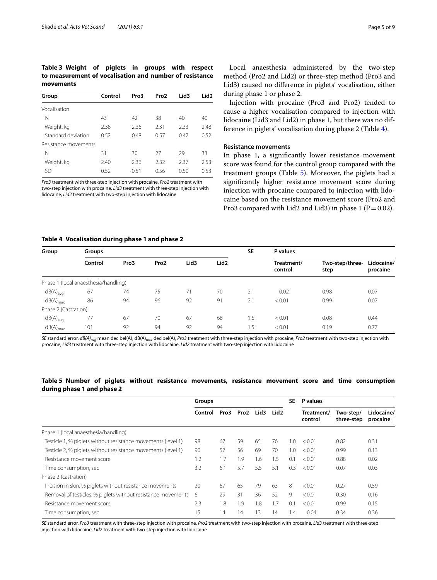# <span id="page-4-2"></span>**Table 3 Weight of piglets in groups with respect to measurement of vocalisation and number of resistance movements**

|                      |         |      |                  |                  | Lid <sub>2</sub> |  |
|----------------------|---------|------|------------------|------------------|------------------|--|
| Group                | Control | Pro3 | Pro <sub>2</sub> | Lid <sub>3</sub> |                  |  |
| Vocalisation         |         |      |                  |                  |                  |  |
| Ν                    | 43      | 42   | 38               | 40               | 40               |  |
| Weight, kg           | 2.38    | 2.36 | 2.31             | 2.33             | 2.48             |  |
| Standard deviation   | 0.52    | 0.48 | 0.57             | 0.47             | 0.52             |  |
| Resistance movements |         |      |                  |                  |                  |  |
| Ν                    | 31      | 30   | 27               | 29               | 33               |  |
| Weight, kg           | 2.40    | 2.36 | 2.32             | 2.37             | 2.53             |  |
| SD                   | 0.52    | 0.51 | 0.56             | 0.50             | 0.53             |  |

*Pro3* treatment with three-step injection with procaine, *Pro2* treatment with two-step injection with procaine, *Lid3* treatment with three-step injection with lidocaine, *Lid2* treatment with two-step injection with lidocaine

Local anaesthesia administered by the two-step method (Pro2 and Lid2) or three-step method (Pro3 and Lid3) caused no diference in piglets' vocalisation, either during phase 1 or phase 2.

Injection with procaine (Pro3 and Pro2) tended to cause a higher vocalisation compared to injection with lidocaine (Lid3 and Lid2) in phase 1, but there was no difference in piglets' vocalisation during phase 2 (Table [4\)](#page-4-0).

# **Resistance movements**

In phase 1, a signifcantly lower resistance movement score was found for the control group compared with the treatment groups (Table [5](#page-4-1)). Moreover, the piglets had a signifcantly higher resistance movement score during injection with procaine compared to injection with lidocaine based on the resistance movement score (Pro2 and Pro3 compared with Lid2 and Lid3) in phase 1 ( $P=0.02$ ).

# <span id="page-4-0"></span>**Table 4 Vocalisation during phase 1 and phase 2**

| Group                | Groups                               |      |                  |                  |                  |     | P values              |                         |                        |  |
|----------------------|--------------------------------------|------|------------------|------------------|------------------|-----|-----------------------|-------------------------|------------------------|--|
|                      | Control                              | Pro3 | Pro <sub>2</sub> | Lid <sub>3</sub> | Lid <sub>2</sub> |     | Treatment/<br>control | Two-step/three-<br>step | Lidocaine/<br>procaine |  |
|                      | Phase 1 (local anaesthesia/handling) |      |                  |                  |                  |     |                       |                         |                        |  |
| $dB(A)_{avg}$        | 67                                   | 74   | 75               | 71               | 70               | 2.1 | 0.02                  | 0.98                    | 0.07                   |  |
| $dB(A)_{max}$        | 86                                   | 94   | 96               | 92               | 91               | 2.1 | < 0.01                | 0.99                    | 0.07                   |  |
| Phase 2 (Castration) |                                      |      |                  |                  |                  |     |                       |                         |                        |  |
| $dB(A)_{\text{avg}}$ | 77                                   | 67   | 70               | 67               | 68               | 1.5 | < 0.01                | 0.08                    | 0.44                   |  |
| $dB(A)_{max}$        | 101                                  | 92   | 94               | 92               | 94               | 1.5 | < 0.01                | 0.19                    | 0.77                   |  |

*SE* standard error, *dB(A)<sub>ava</sub>* mean decibel(A), dB(A)<sub>max</sub> decibel(A), *Pro3* treatment with three-step injection with procaine, *Pro2* treatment with two-step injection with procaine, *Lid3* treatment with three-step injection with lidocaine, *Lid2* treatment with two-step injection with lidocaine

# <span id="page-4-1"></span>**Table 5 Number of piglets without resistance movements, resistance movement score and time consumption during phase 1 and phase 2**

|                                                              | Groups  |      |      |      |                  | <b>SE</b>     | P values              |                         |                        |
|--------------------------------------------------------------|---------|------|------|------|------------------|---------------|-----------------------|-------------------------|------------------------|
|                                                              | Control | Pro3 | Pro2 | Lid3 | Lid <sub>2</sub> |               | Treatment/<br>control | Two-step/<br>three-step | Lidocaine/<br>procaine |
| Phase 1 (local anaesthesia/handling)                         |         |      |      |      |                  |               |                       |                         |                        |
| Testicle 1, % piglets without resistance movements (level 1) | 98      | 67   | 59   | 65   | 76               | $\Omega$ .    | < 0.01                | 0.82                    | 0.31                   |
| Testicle 2, % piglets without resistance movements (level 1) | 90      | 57   | 56   | 69   | 70               | 1.0           | < 0.01                | 0.99                    | 0.13                   |
| Resistance movement score                                    | 1.2     | 1.7  | 1.9  | 1.6  | 1.5              | 0.1           | < 0.01                | 0.88                    | 0.02                   |
| Time consumption, sec                                        | 3.2     | 6.1  | 5.7  | 5.5  | 5.1              | 0.3           | < 0.01                | 0.07                    | 0.03                   |
| Phase 2 (castration)                                         |         |      |      |      |                  |               |                       |                         |                        |
| Incision in skin, % piglets without resistance movements     | 20      | 67   | 65   | 79   | 63               | 8             | < 0.01                | 0.27                    | 0.59                   |
| Removal of testicles, % piglets without resistance movements | 6       | 29   | 31   | 36   | 52               | 9             | < 0.01                | 0.30                    | 0.16                   |
| Resistance movement score                                    | 2.3     | 1.8  | 1.9  | 1.8  | 1.7              | $()$ . 1      | < 0.01                | 0.99                    | 0.15                   |
| Time consumption, sec                                        | 15      | 14   | 14   | 13   | 14               | $\mathcal{A}$ | 0.04                  | 0.34                    | 0.36                   |

*SE* standard error, *Pro3* treatment with three-step injection with procaine, *Pro2* treatment with two-step injection with procaine, *Lid3* treatment with three-step injection with lidocaine, *Lid2* treatment with two-step injection with lidocaine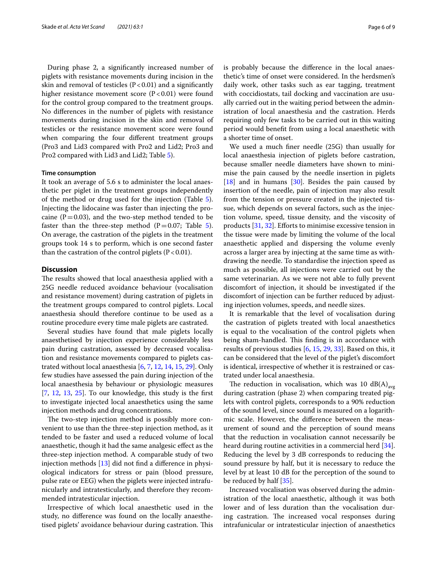During phase 2, a signifcantly increased number of piglets with resistance movements during incision in the skin and removal of testicles  $(P < 0.01)$  and a significantly higher resistance movement score  $(P<0.01)$  were found for the control group compared to the treatment groups. No diferences in the number of piglets with resistance movements during incision in the skin and removal of testicles or the resistance movement score were found when comparing the four diferent treatment groups (Pro3 and Lid3 compared with Pro2 and Lid2; Pro3 and Pro2 compared with Lid3 and Lid2; Table [5\)](#page-4-1).

#### **Time consumption**

It took an average of 5.6 s to administer the local anaesthetic per piglet in the treatment groups independently of the method or drug used for the injection (Table [5](#page-4-1)). Injecting the lidocaine was faster than injecting the procaine ( $P=0.03$ ), and the two-step method tended to be faster than the three-step method  $(P=0.07;$  Table [5](#page-4-1)). On average, the castration of the piglets in the treatment groups took 14 s to perform, which is one second faster than the castration of the control piglets  $(P < 0.01)$ .

# **Discussion**

The results showed that local anaesthesia applied with a 25G needle reduced avoidance behaviour (vocalisation and resistance movement) during castration of piglets in the treatment groups compared to control piglets. Local anaesthesia should therefore continue to be used as a routine procedure every time male piglets are castrated.

Several studies have found that male piglets locally anaesthetised by injection experience considerably less pain during castration, assessed by decreased vocalisation and resistance movements compared to piglets castrated without local anaesthesia [\[6](#page-7-13), [7,](#page-7-5) [12,](#page-7-8) [14](#page-7-15), [15](#page-7-16), [29\]](#page-8-8). Only few studies have assessed the pain during injection of the local anaesthesia by behaviour or physiologic measures  $[7, 12, 13, 25]$  $[7, 12, 13, 25]$  $[7, 12, 13, 25]$  $[7, 12, 13, 25]$  $[7, 12, 13, 25]$  $[7, 12, 13, 25]$  $[7, 12, 13, 25]$  $[7, 12, 13, 25]$ . To our knowledge, this study is the first to investigate injected local anaesthetics using the same injection methods and drug concentrations.

The two-step injection method is possibly more convenient to use than the three-step injection method, as it tended to be faster and used a reduced volume of local anaesthetic, though it had the same analgesic efect as the three-step injection method. A comparable study of two injection methods [\[13](#page-7-17)] did not fnd a diference in physiological indicators for stress or pain (blood pressure, pulse rate or EEG) when the piglets were injected intrafunicularly and intratesticularly, and therefore they recommended intratesticular injection.

Irrespective of which local anaesthetic used in the study, no diference was found on the locally anaesthetised piglets' avoidance behaviour during castration. This is probably because the diference in the local anaesthetic's time of onset were considered. In the herdsmen's daily work, other tasks such as ear tagging, treatment with coccidiostats, tail docking and vaccination are usually carried out in the waiting period between the administration of local anaesthesia and the castration. Herds requiring only few tasks to be carried out in this waiting period would beneft from using a local anaesthetic with a shorter time of onset.

We used a much fner needle (25G) than usually for local anaesthesia injection of piglets before castration, because smaller needle diameters have shown to minimise the pain caused by the needle insertion in piglets  $[18]$  $[18]$  and in humans  $[30]$  $[30]$  $[30]$ . Besides the pain caused by insertion of the needle, pain of injection may also result from the tension or pressure created in the injected tissue, which depends on several factors, such as the injection volume, speed, tissue density, and the viscosity of products [[31](#page-8-10), [32\]](#page-8-11). Efforts to minimise excessive tension in the tissue were made by limiting the volume of the local anaesthetic applied and dispersing the volume evenly across a larger area by injecting at the same time as withdrawing the needle. To standardise the injection speed as much as possible, all injections were carried out by the same veterinarian. As we were not able to fully prevent discomfort of injection, it should be investigated if the discomfort of injection can be further reduced by adjusting injection volumes, speeds, and needle sizes.

It is remarkable that the level of vocalisation during the castration of piglets treated with local anaesthetics is equal to the vocalisation of the control piglets when being sham-handled. This finding is in accordance with results of previous studies [[6](#page-7-13), [15](#page-7-16), [29,](#page-8-8) [33](#page-8-12)]. Based on this, it can be considered that the level of the piglet's discomfort is identical, irrespective of whether it is restrained or castrated under local anaesthesia.

The reduction in vocalisation, which was 10  $dB(A)_{avg}$ during castration (phase 2) when comparing treated piglets with control piglets, corresponds to a 90% reduction of the sound level, since sound is measured on a logarithmic scale. However, the diference between the measurement of sound and the perception of sound means that the reduction in vocalisation cannot necessarily be heard during routine activities in a commercial herd [\[34](#page-8-13)]. Reducing the level by 3 dB corresponds to reducing the sound pressure by half, but it is necessary to reduce the level by at least 10 dB for the perception of the sound to be reduced by half [[35\]](#page-8-14).

Increased vocalisation was observed during the administration of the local anaesthetic, although it was both lower and of less duration than the vocalisation during castration. The increased vocal responses during intrafunicular or intratesticular injection of anaesthetics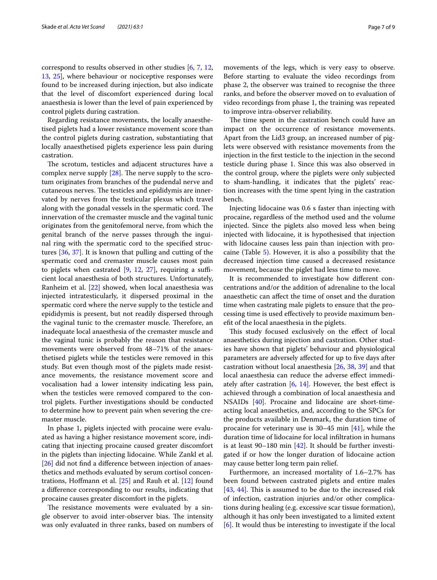correspond to results observed in other studies [\[6](#page-7-13), [7](#page-7-5), [12](#page-7-8), [13,](#page-7-17) [25](#page-8-4)], where behaviour or nociceptive responses were found to be increased during injection, but also indicate that the level of discomfort experienced during local anaesthesia is lower than the level of pain experienced by control piglets during castration.

Regarding resistance movements, the locally anaesthetised piglets had a lower resistance movement score than the control piglets during castration, substantiating that locally anaesthetised piglets experience less pain during castration.

The scrotum, testicles and adjacent structures have a complex nerve supply  $[28]$  $[28]$ . The nerve supply to the scrotum originates from branches of the pudendal nerve and cutaneous nerves. The testicles and epididymis are innervated by nerves from the testicular plexus which travel along with the gonadal vessels in the spermatic cord. The innervation of the cremaster muscle and the vaginal tunic originates from the genitofemoral nerve, from which the genital branch of the nerve passes through the inguinal ring with the spermatic cord to the specifed structures [\[36](#page-8-15), [37](#page-8-16)]. It is known that pulling and cutting of the spermatic cord and cremaster muscle causes most pain to piglets when castrated  $[9, 12, 27]$  $[9, 12, 27]$  $[9, 12, 27]$  $[9, 12, 27]$  $[9, 12, 27]$  $[9, 12, 27]$  $[9, 12, 27]$ , requiring a sufficient local anaesthesia of both structures. Unfortunately, Ranheim et al. [[22\]](#page-8-1) showed, when local anaesthesia was injected intratesticularly, it dispersed proximal in the spermatic cord where the nerve supply to the testicle and epididymis is present, but not readily dispersed through the vaginal tunic to the cremaster muscle. Therefore, an inadequate local anaesthesia of the cremaster muscle and the vaginal tunic is probably the reason that resistance movements were observed from 48–71% of the anaesthetised piglets while the testicles were removed in this study. But even though most of the piglets made resistance movements, the resistance movement score and vocalisation had a lower intensity indicating less pain, when the testicles were removed compared to the control piglets. Further investigations should be conducted to determine how to prevent pain when severing the cremaster muscle.

In phase 1, piglets injected with procaine were evaluated as having a higher resistance movement score, indicating that injecting procaine caused greater discomfort in the piglets than injecting lidocaine. While Zankl et al. [[26\]](#page-8-5) did not find a difference between injection of anaesthetics and methods evaluated by serum cortisol concentrations, Hofmann et al. [\[25](#page-8-4)] and Rauh et al. [\[12](#page-7-8)] found a diference corresponding to our results, indicating that procaine causes greater discomfort in the piglets.

The resistance movements were evaluated by a single observer to avoid inter-observer bias. The intensity was only evaluated in three ranks, based on numbers of movements of the legs, which is very easy to observe. Before starting to evaluate the video recordings from phase 2, the observer was trained to recognise the three ranks, and before the observer moved on to evaluation of video recordings from phase 1, the training was repeated to improve intra-observer reliability.

The time spent in the castration bench could have an impact on the occurrence of resistance movements. Apart from the Lid3 group, an increased number of piglets were observed with resistance movements from the injection in the frst testicle to the injection in the second testicle during phase 1. Since this was also observed in the control group, where the piglets were only subjected to sham-handling, it indicates that the piglets' reaction increases with the time spent lying in the castration bench.

Injecting lidocaine was 0.6 s faster than injecting with procaine, regardless of the method used and the volume injected. Since the piglets also moved less when being injected with lidocaine, it is hypothesised that injection with lidocaine causes less pain than injection with procaine (Table [5\)](#page-4-1). However, it is also a possibility that the decreased injection time caused a decreased resistance movement, because the piglet had less time to move.

It is recommended to investigate how diferent concentrations and/or the addition of adrenaline to the local anaesthetic can afect the time of onset and the duration time when castrating male piglets to ensure that the processing time is used efectively to provide maximum beneft of the local anaesthesia in the piglets.

This study focused exclusively on the effect of local anaesthetics during injection and castration. Other studies have shown that piglets' behaviour and physiological parameters are adversely affected for up to five days after castration without local anaesthesia [\[26](#page-8-5), [38](#page-8-17), [39](#page-8-18)] and that local anaesthesia can reduce the adverse efect immediately after castration  $[6, 14]$  $[6, 14]$  $[6, 14]$ . However, the best effect is achieved through a combination of local anaesthesia and NSAIDs [\[40](#page-8-19)]. Procaine and lidocaine are short-timeacting local anaesthetics, and, according to the SPCs for the products available in Denmark, the duration time of procaine for veterinary use is 30–45 min [[41\]](#page-8-20), while the duration time of lidocaine for local infltration in humans is at least 90–180 min [\[42\]](#page-8-21). It should be further investigated if or how the longer duration of lidocaine action may cause better long term pain relief.

Furthermore, an increased mortality of 1.6–2.7% has been found between castrated piglets and entire males  $[43, 44]$  $[43, 44]$  $[43, 44]$  $[43, 44]$  $[43, 44]$ . This is assumed to be due to the increased risk of infection, castration injuries and/or other complications during healing (e.g. excessive scar tissue formation), although it has only been investigated to a limited extent [[6\]](#page-7-13). It would thus be interesting to investigate if the local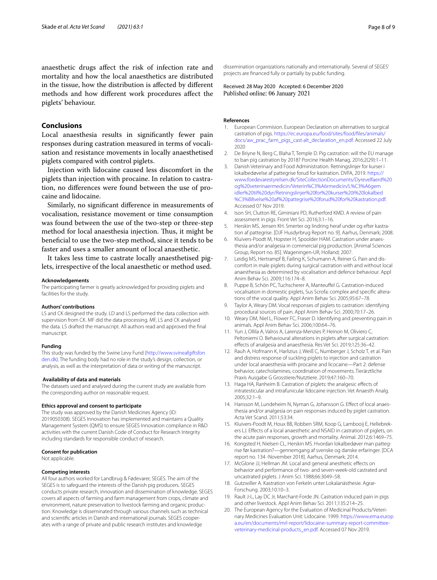anaesthetic drugs afect the risk of infection rate and mortality and how the local anaesthetics are distributed in the tissue, how the distribution is afected by diferent methods and how diferent work procedures afect the piglets' behaviour.

# **Conclusions**

Local anaesthesia results in signifcantly fewer pain responses during castration measured in terms of vocalisation and resistance movements in locally anaesthetised piglets compared with control piglets.

Injection with lidocaine caused less discomfort in the piglets than injection with procaine. In relation to castration, no diferences were found between the use of procaine and lidocaine.

Similarly, no signifcant diference in measurements of vocalisation, resistance movement or time consumption was found between the use of the two-step or three-step method for local anaesthesia injection. Thus, it might be benefcial to use the two-step method, since it tends to be faster and uses a smaller amount of local anaesthetic.

It takes less time to castrate locally anaesthetised piglets, irrespective of the local anaesthetic or method used.

#### **Acknowledgements**

The participating farmer is greatly acknowledged for providing piglets and facilities for the study.

#### **Authors' contributions**

LS and CK designed the study. LD and LS performed the data collection with supervision from CK. MF did the data processing. MF, LS and CK analysed the data. LS drafted the manuscript. All authors read and approved the fnal manuscript.

#### **Funding**

This study was funded by the Swine Levy Fund ([http://www.svineafgiftsfon](http://www.svineafgiftsfonden.dk) [den.dk\)](http://www.svineafgiftsfonden.dk). The funding body had no role in the study's design, collection, or analysis, as well as the interpretation of data or writing of the manuscript.

#### **Availability of data and materials**

The datasets used and analysed during the current study are available from the corresponding author on reasonable request.

#### **Ethics approval and consent to participate**

The study was approved by the Danish Medicines Agency (ID: 2019050308). SEGES Innovation has implemented and maintains a Quality Management System (QMS) to ensure SEGES Innovation compliance in R&D activities with the current Danish Code of Conduct for Research Integrity including standards for responsible conduct of research.

#### **Consent for publication**

Not applicable.

#### **Competing interests**

All four authors worked for Landbrug & Fødevarer, SEGES. The aim of the SEGES is to safeguard the interests of the Danish pig producers. SEGES conducts private research, innovation and dissemination of knowledge. SEGES covers all aspects of farming and farm management from crops, climate and environment, nature preservation to livestock farming and organic production. Knowledge is disseminated through various channels such as technical and scientifc articles in Danish and international journals. SEGES cooperates with a range of private and public research institutes and knowledge

dissemination organizations nationally and internationally. Several of SEGES' projects are fnanced fully or partially by public funding.

Received: 28 May 2020 Accepted: 6 December 2020 Published online: 06 January 2021

#### **References**

- <span id="page-7-0"></span>1. European Commision. European Declaration on alternatives to surgical castration of pigs. [https://ec.europa.eu/food/sites/food/fles/animals/](https://ec.europa.eu/food/sites/food/files/animals/docs/aw_prac_farm_pigs_cast-alt_declaration_en.pdf) [docs/aw\\_prac\\_farm\\_pigs\\_cast-alt\\_declaration\\_en.pdf](https://ec.europa.eu/food/sites/food/files/animals/docs/aw_prac_farm_pigs_cast-alt_declaration_en.pdf). Accessed 22 July 2020
- <span id="page-7-1"></span>2. De Briyne N, Berg C, Blaha T, Temple D. Pig castration: will the EU manage to ban pig castration by 2018? Porcine Health Manag. 2016;2(29):1–11.
- <span id="page-7-2"></span>3. Danish Veterinary and Food Administration. Retningslinjer for kurser i lokalbedøvelse af pattegrise forud for kastration. DVFA, 2019. [https://](https://www.foedevarestyrelsen.dk/SiteCollectionDocuments/Dyrevelfaerd%20og%20veterinaermedicin/Veterin%C3%A6rmedicin/L%C3%A6gemidler%20til%20dyr/Retningslinjer%20for%20kurser%20i%20lokalbed%C3%B8velse%20af%20pattegrise%20forud%20for%20kastration.pdf) [www.foedevarestyrelsen.dk/SiteCollectionDocuments/Dyrevelfaerd%20](https://www.foedevarestyrelsen.dk/SiteCollectionDocuments/Dyrevelfaerd%20og%20veterinaermedicin/Veterin%C3%A6rmedicin/L%C3%A6gemidler%20til%20dyr/Retningslinjer%20for%20kurser%20i%20lokalbed%C3%B8velse%20af%20pattegrise%20forud%20for%20kastration.pdf) [og%20veterinaermedicin/Veterin%C3%A6rmedicin/L%C3%A6gem](https://www.foedevarestyrelsen.dk/SiteCollectionDocuments/Dyrevelfaerd%20og%20veterinaermedicin/Veterin%C3%A6rmedicin/L%C3%A6gemidler%20til%20dyr/Retningslinjer%20for%20kurser%20i%20lokalbed%C3%B8velse%20af%20pattegrise%20forud%20for%20kastration.pdf) [idler%20til%20dyr/Retningslinjer%20for%20kurser%20i%20lokalbed](https://www.foedevarestyrelsen.dk/SiteCollectionDocuments/Dyrevelfaerd%20og%20veterinaermedicin/Veterin%C3%A6rmedicin/L%C3%A6gemidler%20til%20dyr/Retningslinjer%20for%20kurser%20i%20lokalbed%C3%B8velse%20af%20pattegrise%20forud%20for%20kastration.pdf) [%C3%B8velse%20af%20pattegrise%20forud%20for%20kastration.pdf.](https://www.foedevarestyrelsen.dk/SiteCollectionDocuments/Dyrevelfaerd%20og%20veterinaermedicin/Veterin%C3%A6rmedicin/L%C3%A6gemidler%20til%20dyr/Retningslinjer%20for%20kurser%20i%20lokalbed%C3%B8velse%20af%20pattegrise%20forud%20for%20kastration.pdf) Accessed 07 Nov 2019.
- <span id="page-7-3"></span>4. Ison SH, Clutton RE, Giminiani PD, Rutherford KMD. A review of pain assessment in pigs. Front Vet Sci. 2016;3:1–16.
- <span id="page-7-7"></span>5. Herskin MS, Jensen KH. Smerter og lindring heraf under og efter kastration af pattegrise. [DJF Husdyrbrug Report no. 9]. Aarhus, Denmark; 2008.
- <span id="page-7-13"></span>6. Kluivers-Poodt M, Hopster H, Spoolder HAM. Castration under anaesthesia and/or analgesia in commercial pig production. [Animal Sciences Group, Report no. 85]. Wageningen-UR, Holland; 2007.
- <span id="page-7-5"></span>7. Leidig MS, Hertrampf B, Failing K, Schumann A, Reiner G. Pain and discomfort in male piglets during surgical castration with and without local anaesthesia as determined by vocalisation and defence behaviour. Appl Anim Behav Sci. 2009;116:174–8.
- 8. Puppe B, Schön PC, Tuchscherer A, Manteufel G. Castration-induced vocalisation in domestic piglets, Sus Scrofa: complex and specifc alterations of the vocal quality. Appl Anim Behav Sci. 2005;95:67–78.
- <span id="page-7-14"></span>9. Taylor A, Weary DM. Vocal responses of piglets to castration: identifying procedural sources of pain. Appl Anim Behav Sci. 2000;70:17–26.
- <span id="page-7-4"></span>10. Weary DM, Niel L, Flower FC, Fraser D. Identifying and preventing pain in animals. Appl Anim Behav Sci. 2006;100:64–76.
- <span id="page-7-6"></span>11. Yun J, Ollila A, Valros A, Larenza-Menzies P, Heinon M, Oliviero C, Peltoniemi O. Behavioural alterations in piglets after surgical castration: efects of analgesia and anaesthesia. Res Vet Sci. 2019;125:36–42.
- <span id="page-7-8"></span>12. Rauh A, Hofmann K, Harlizius J, Weiß C, Numberger J, Scholz T, et al. Pain and distress response of suckling piglets to injection and castration under local anaesthesia with procaine and licocaine—Part 2: defense behavior, catecholamines, coordination of movements. Tierärztliche Praxis Ausgabe G Grosstiere/Nutztiere. 2019;47:160–70.
- <span id="page-7-17"></span>13. Haga HA, Ranheim B. Castration of piglets: the analgesic efects of intratesticular and intrafunicular lidocaine injection. Vet Anaesth Analg. 2005;32:1–9.
- <span id="page-7-15"></span>14. Hansson M, Lundeheim N, Nyman G, Johansson G. Effect of local anaesthesia and/or analgesia on pain responses induced by piglet castration. Acta Vet Scand. 2011;53:34.
- <span id="page-7-16"></span>15. Kluivers-Poodt M, Houx BB, Robben SRM, Koop G, Lambooij E, Hellebrekers LJ. Efects of a local anaesthetic and NSAID in castration of piglets, on the acute pain responses, growth and mortality. Animal. 2012;6:1469–75.
- <span id="page-7-10"></span>16. Kongsted H, Nielsen CL, Herskin MS. Hvordan lokalbedøver man pattegrise før kastration?—gennemgang af svenske og danske erfaringer. [DCA report no. 134 -November 2018]. Aarhus, Denmark; 2014.
- <span id="page-7-9"></span>17. McGlone JJ, Hellman JM. Local and general anesthetic effects on behavior and performance of two- and seven-week-old castrated and uncastrated piglets. J Anim Sci. 1988;66:3049–58.
- <span id="page-7-11"></span>18. Gutzwiller A. Kastration von Ferkeln unter Lokalanästhesie. Agrar-Forschung. 2003;10:10–3.
- <span id="page-7-12"></span>19. Rault J-L, Lay DC Jr, Marchant-Forde JN. Castration induced pain in pigs and other livestock. Appl Anim Behav Sci. 2011;135:214–25.
- 20. The European Agency for the Evaluation of Medicinal Products/Veterinary Medicines Evaluation Unit: Lidocaine. 1999. [https://www.ema.europ](https://www.ema.europa.eu/en/documents/mrl-report/lidocaine-summary-report-committee-veterinary-medicinal-products_en.pdf) [a.eu/en/documents/mrl-report/lidocaine-summary-report-committee](https://www.ema.europa.eu/en/documents/mrl-report/lidocaine-summary-report-committee-veterinary-medicinal-products_en.pdf)[veterinary-medicinal-products\\_en.pdf.](https://www.ema.europa.eu/en/documents/mrl-report/lidocaine-summary-report-committee-veterinary-medicinal-products_en.pdf) Accessed 07 Nov 2019.